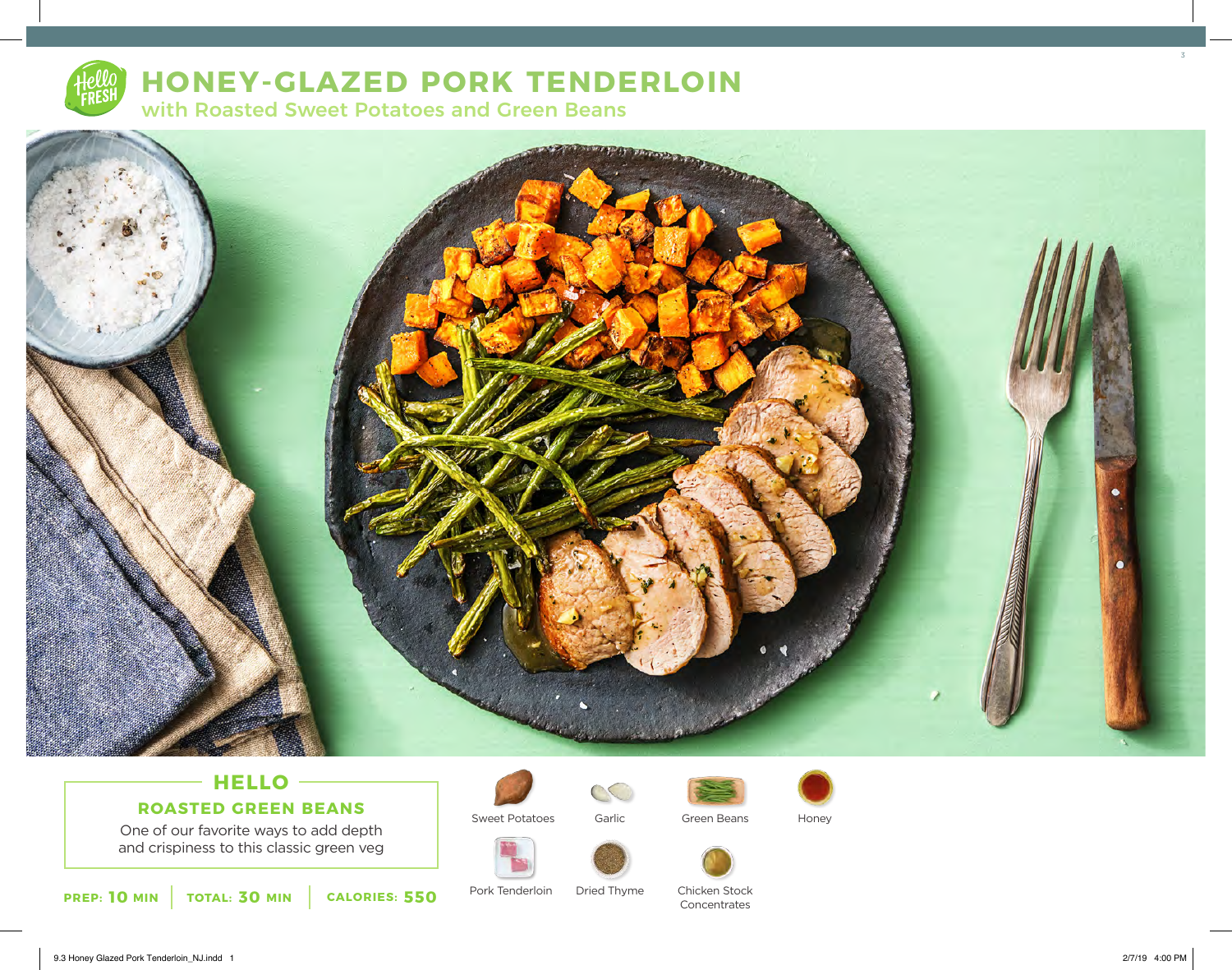

# **HONEY-GLAZED PORK TENDERLOIN**

with Roasted Sweet Potatoes and Green Beans



# **HELLO ROASTED GREEN BEANS**

One of our favorite ways to add depth and crispiness to this classic green veg





Green Beans



Sweet Potatoes Garlic Green Beans Honey



Dried Thyme Chicken Stock Concentrates

**10** MIN | TOTAL: 30 MIN | CALORIES: 550

Pork Tenderloin

3